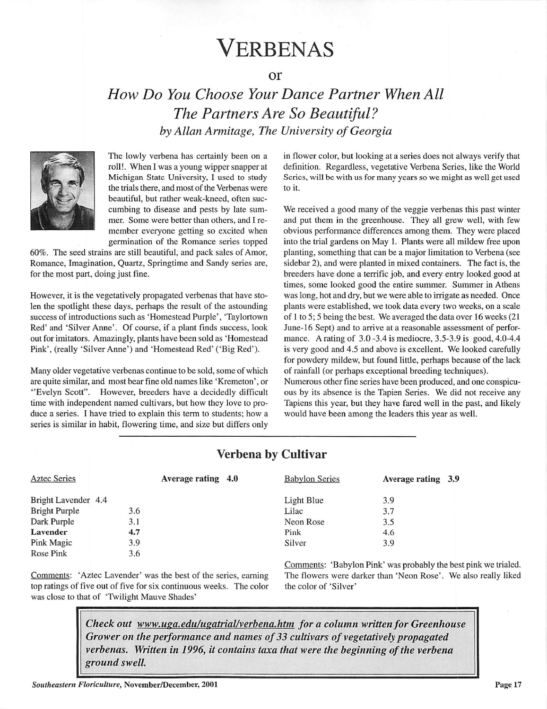# Verbenas

or

## **How Do You Choose Your Dance Partner When All The Partners Are So Beautiful? by Allan Armitage, The University ofGeorgia**



The lowly verbena has certainly been on a roll!. When I was a young wipper snapper at Michigan State University, I used to study the trials there, and most of the Verbenas were beautiful, but rather weak-kneed, often suc cumbing to disease and pests by late sum mer. Some were better than others, and I re member everyone getting so excited when germination of the Romance series topped

60%. The seed strains are still beautiful, and pack sales of Amor, Romance, Imagination, Quartz, Springtime and Sandy series are, for the most part, doing just fine.

However, it is the vegetatively propagated verbenas that have sto len the spotlight these days, perhaps the result of the astounding success of introductions such as 'Homestead Purple', 'Taylortown Red' and 'Silver Anne'. Of course, if a plant finds success, look out for imitators. Amazingly, plants have been sold as 'Homestead Pink', (really 'Silver Anne') and 'Homestead Red' ('Big Red').

Many older vegetative verbenas continue to be sold, some of which are quite similar, and most bear fine old names like 'Kremeton', or "Evelyn Scott". However, breeders have a decidedly difficult time with independent named cultivars, but how they love to pro duce a series. I have tried to explain this term to students; how a series is similar in habit, flowering time, and size but differs only

in flower color, but looking at a series does not always verify that definition. Regardless, vegetative Verbena Series, like the World Series, will be with us for many years so we might as well get used to it.

We received a good many of the veggie verbenas this past winter and put them in the greenhouse. They all grew well, with few obvious performance differences among them. They were placed into the trial gardens on May 1. Plants were all mildew free upon planting, something that can be a major limitation to Verbena (see sidebar 2), and were planted in mixed containers. The fact is, the breeders have done a terrific job, and every entry looked good at times, some looked good the entire summer. Summer in Athens was long, hot and dry, but we were able to irrigate as needed. Once plants were established, we took data every two weeks, on a scale of 1 to 5; 5 being the best. We averaged the data over 16 weeks (21 June-16 Sept) and to arrive at a reasonable assessment of perfor mance. A rating of 3.0 -3.4 is mediocre, 3.5-3.9 is good, 4.0-4.4 is very good and 4.5 and above is excellent. We looked carefully for powdery mildew, but found little, perhaps because of the lack of rainfall (or perhaps exceptional breeding techniques).

Numerous other fine series have been produced, and one conspicu ous by its absence is the Tapien Series. We did not receive any Tapiens this year, but they have fared well in the past, and likely would have been among the leaders this year as well.

|                     | Average rating 4.0 | <b>Babylon Series</b> | Average rating 3.9 |  |
|---------------------|--------------------|-----------------------|--------------------|--|
| Bright Lavender 4.4 |                    | Light Blue            | 3.9                |  |
| 3.6                 |                    | Lilac                 | 3.7                |  |
| 3.1                 |                    | Neon Rose             | 3.5                |  |
| 4.7                 |                    | Pink                  | 4.6                |  |
| 3.9                 |                    | Silver                | 3.9                |  |
| 3.6                 |                    |                       |                    |  |
|                     |                    |                       |                    |  |

### Verbena by Cultivar

Comments: 'Aztec Lavender' was the best of the series, earning top ratings of five out of five for six continuous weeks. The color was close to that of 'Twilight Mauve Shades'

Comments: 'Babylon Pink' was probably the best pink we trialed. The flowers were darker than 'Neon Rose'. We also really liked the color of 'Silver'

**Check out**  $www.ugg.edu/ugatrial/verbena.htm for a column written for Greenhouse$ **Grower on the performance and names of33 cultivars of vegetativelypropagated verbenas.** Written in 1996, it contains taxa that were the beginning of the verbena **ground swell.**